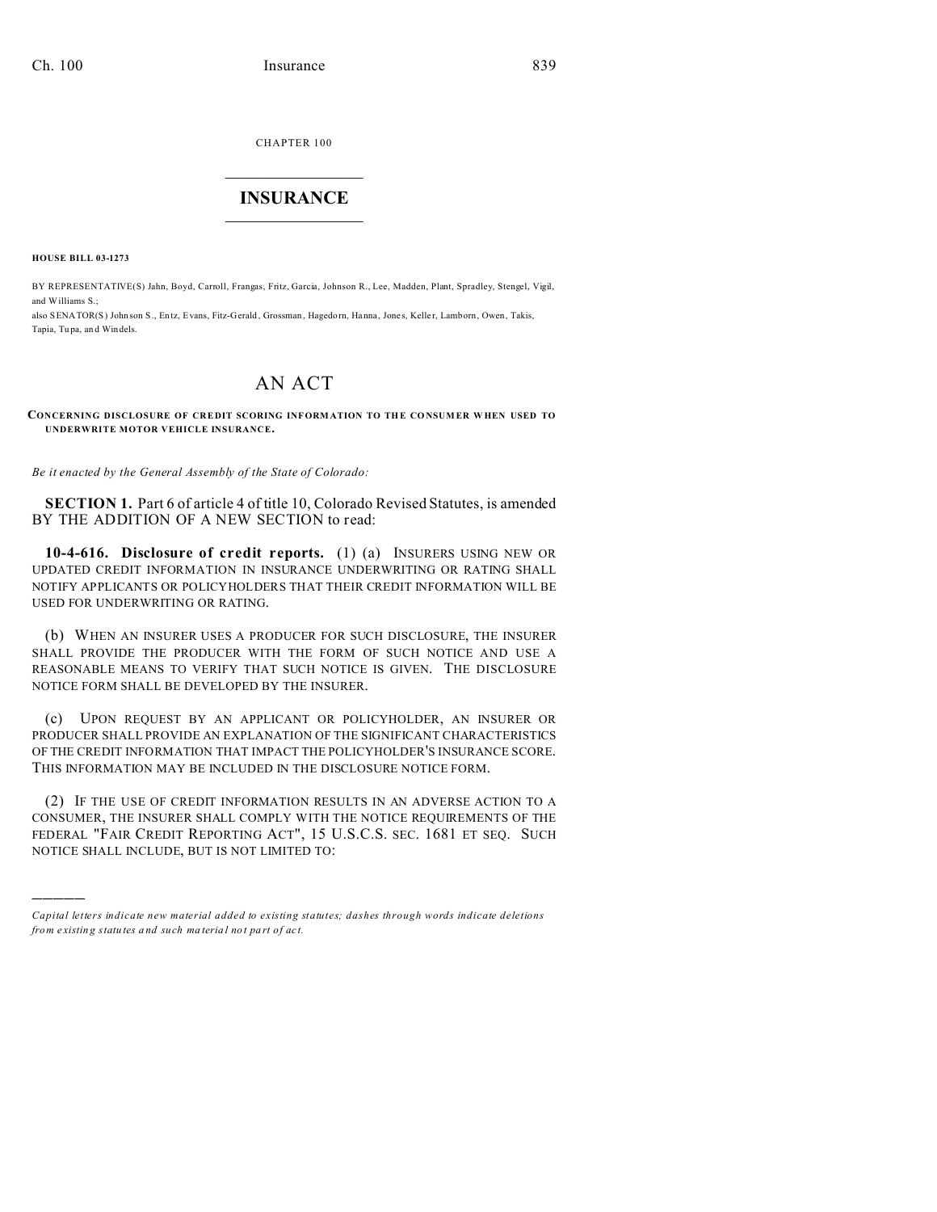CHAPTER 100  $\overline{\phantom{a}}$  , where  $\overline{\phantom{a}}$ 

## **INSURANCE**  $\_$   $\_$   $\_$   $\_$   $\_$   $\_$   $\_$

**HOUSE BILL 03-1273**

)))))

BY REPRESENTATIVE(S) Jahn, Boyd, Carroll, Frangas, Fritz, Garcia, Johnson R., Lee, Madden, Plant, Spradley, Stengel, Vigil, and Williams S.; also SENATOR(S) John son S., Entz, Evans, Fitz-Gerald, Grossman, Hagedorn, Hanna, Jones, Keller, Lamborn, Owen, Takis, Tapia, Tu pa, an d Windels.

## AN ACT

## **CONCERNING DISCLOSURE OF CREDIT SCORING INFORMATION TO THE CONSUMER W HEN USED TO UNDERWRITE MOTOR VEHICLE INSURANCE.**

*Be it enacted by the General Assembly of the State of Colorado:*

**SECTION 1.** Part 6 of article 4 of title 10, Colorado Revised Statutes, is amended BY THE ADDITION OF A NEW SECTION to read:

**10-4-616. Disclosure of credit reports.** (1) (a) INSURERS USING NEW OR UPDATED CREDIT INFORMATION IN INSURANCE UNDERWRITING OR RATING SHALL NOTIFY APPLICANTS OR POLICYHOLDERS THAT THEIR CREDIT INFORMATION WILL BE USED FOR UNDERWRITING OR RATING.

(b) WHEN AN INSURER USES A PRODUCER FOR SUCH DISCLOSURE, THE INSURER SHALL PROVIDE THE PRODUCER WITH THE FORM OF SUCH NOTICE AND USE A REASONABLE MEANS TO VERIFY THAT SUCH NOTICE IS GIVEN. THE DISCLOSURE NOTICE FORM SHALL BE DEVELOPED BY THE INSURER.

(c) UPON REQUEST BY AN APPLICANT OR POLICYHOLDER, AN INSURER OR PRODUCER SHALL PROVIDE AN EXPLANATION OF THE SIGNIFICANT CHARACTERISTICS OF THE CREDIT INFORMATION THAT IMPACT THE POLICYHOLDER'S INSURANCE SCORE. THIS INFORMATION MAY BE INCLUDED IN THE DISCLOSURE NOTICE FORM.

(2) IF THE USE OF CREDIT INFORMATION RESULTS IN AN ADVERSE ACTION TO A CONSUMER, THE INSURER SHALL COMPLY WITH THE NOTICE REQUIREMENTS OF THE FEDERAL "FAIR CREDIT REPORTING ACT", 15 U.S.C.S. SEC. 1681 ET SEQ. SUCH NOTICE SHALL INCLUDE, BUT IS NOT LIMITED TO:

*Capital letters indicate new material added to existing statutes; dashes through words indicate deletions from e xistin g statu tes a nd such ma teria l no t pa rt of ac t.*